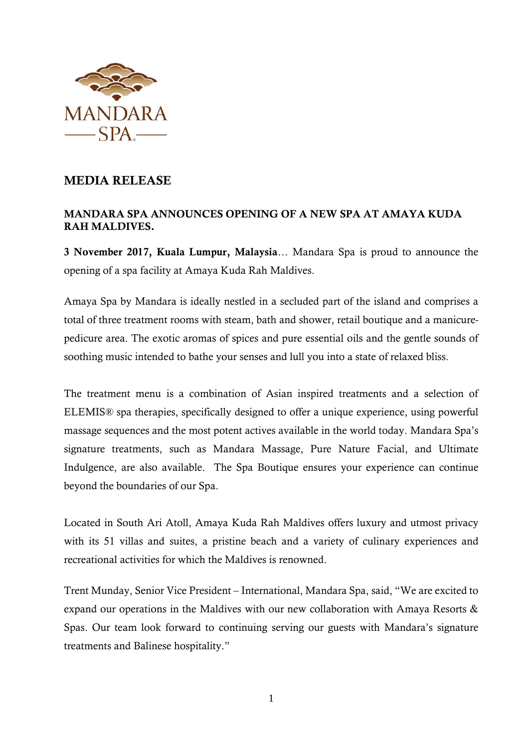

## MEDIA RELEASE

## MANDARA SPA ANNOUNCES OPENING OF A NEW SPA AT AMAYA KUDA RAH MALDIVES.

3 November 2017, Kuala Lumpur, Malaysia… Mandara Spa is proud to announce the opening of a spa facility at Amaya Kuda Rah Maldives.

Amaya Spa by Mandara is ideally nestled in a secluded part of the island and comprises a total of three treatment rooms with steam, bath and shower, retail boutique and a manicurepedicure area. The exotic aromas of spices and pure essential oils and the gentle sounds of soothing music intended to bathe your senses and lull you into a state of relaxed bliss.

The treatment menu is a combination of Asian inspired treatments and a selection of ELEMIS® spa therapies, specifically designed to offer a unique experience, using powerful massage sequences and the most potent actives available in the world today. Mandara Spa's signature treatments, such as Mandara Massage, Pure Nature Facial, and Ultimate Indulgence, are also available. The Spa Boutique ensures your experience can continue beyond the boundaries of our Spa.

Located in South Ari Atoll, Amaya Kuda Rah Maldives offers luxury and utmost privacy with its 51 villas and suites, a pristine beach and a variety of culinary experiences and recreational activities for which the Maldives is renowned.

Trent Munday, Senior Vice President – International, Mandara Spa, said, "We are excited to expand our operations in the Maldives with our new collaboration with Amaya Resorts & Spas. Our team look forward to continuing serving our guests with Mandara's signature treatments and Balinese hospitality."